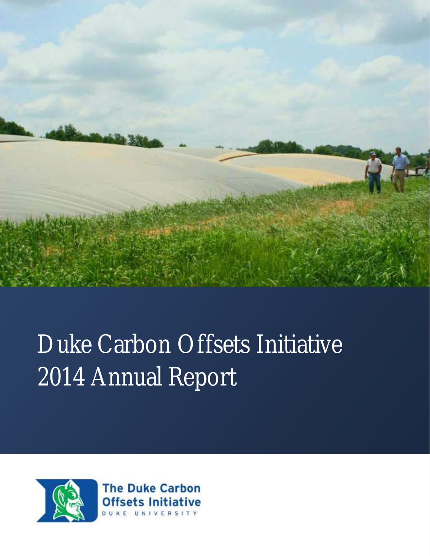

## Duke Carbon Offsets Initiative 2014 Annual Report



**The Duke Carbon Offsets Initiative** DUKE UNIVERSITY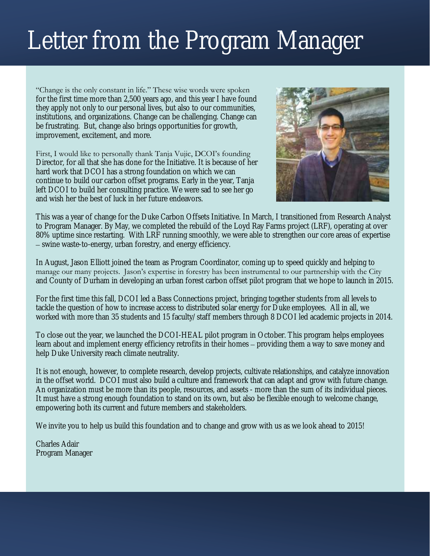## Letter from the Program Manager

"Change is the only constant in life." These wise words were spoken for the first time more than 2,500 years ago, and this year I have found they apply not only to our personal lives, but also to our communities, institutions, and organizations. Change can be challenging. Change can be frustrating. But, change also brings opportunities for growth, improvement, excitement, and more.

First, I would like to personally thank Tanja Vujic, DCOI's founding Director, for all that she has done for the Initiative. It is because of her hard work that DCOI has a strong foundation on which we can continue to build our carbon offset programs. Early in the year, Tanja left DCOI to build her consulting practice. We were sad to see her go and wish her the best of luck in her future endeavors.



This was a year of change for the Duke Carbon Offsets Initiative. In March, I transitioned from Research Analyst to Program Manager. By May, we completed the rebuild of the Loyd Ray Farms project (LRF), operating at over 80% uptime since restarting. With LRF running smoothly, we were able to strengthen our core areas of expertise – swine waste-to-energy, urban forestry, and energy efficiency.

In August, Jason Elliott joined the team as Program Coordinator, coming up to speed quickly and helping to manage our many projects. Jason's expertise in forestry has been instrumental to our partnership with the City and County of Durham in developing an urban forest carbon offset pilot program that we hope to launch in 2015.

For the first time this fall, DCOI led a Bass Connections project, bringing together students from all levels to tackle the question of how to increase access to distributed solar energy for Duke employees. All in all, we worked with more than 35 students and 15 faculty/staff members through 8 DCOI led academic projects in 2014.

To close out the year, we launched the DCOI-HEAL pilot program in October. This program helps employees learn about and implement energy efficiency retrofits in their homes – providing them a way to save money and help Duke University reach climate neutrality.

It is not enough, however, to complete research, develop projects, cultivate relationships, and catalyze innovation in the offset world. DCOI must also build a culture and framework that can adapt and grow with future change. An organization must be more than its people, resources, and assets - more than the sum of its individual pieces. It must have a strong enough foundation to stand on its own, but also be flexible enough to welcome change, empowering both its current and future members and stakeholders.

We invite you to help us build this foundation and to change and grow with us as we look ahead to 2015!

Charles Adair Program Manager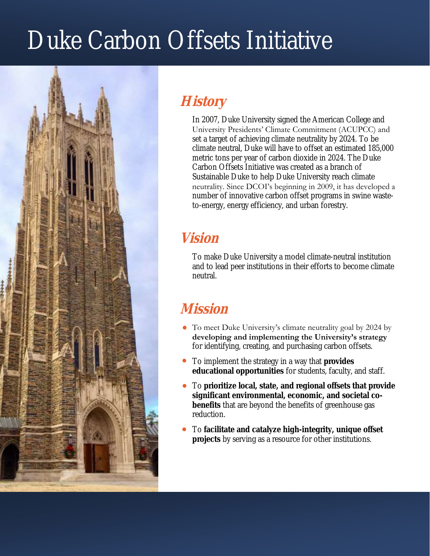## Duke Carbon Offsets Initiative



#### **History**

In 2007, Duke University signed the American College and University Presidents' Climate Commitment (ACUPCC) and set a target of achieving climate neutrality by 2024. To be climate neutral, Duke will have to offset an estimated 185,000 metric tons per year of carbon dioxide in 2024. The Duke Carbon Offsets Initiative was created as a branch of Sustainable Duke to help Duke University reach climate neutrality. Since DCOI's beginning in 2009, it has developed a number of innovative carbon offset programs in swine wasteto-energy, energy efficiency, and urban forestry.

#### **Vision**

To make Duke University a model climate-neutral institution and to lead peer institutions in their efforts to become climate neutral.

#### **Mission**

- To meet Duke University's climate neutrality goal by 2024 by **developing and implementing the University's strategy**  for identifying, creating, and purchasing carbon offsets.
- To implement the strategy in a way that **provides educational opportunities** for students, faculty, and staff.
- To **prioritize local, state, and regional offsets that provide significant environmental, economic, and societal cobenefits** that are beyond the benefits of greenhouse gas reduction.
- To **facilitate and catalyze high-integrity, unique offset projects** by serving as a resource for other institutions.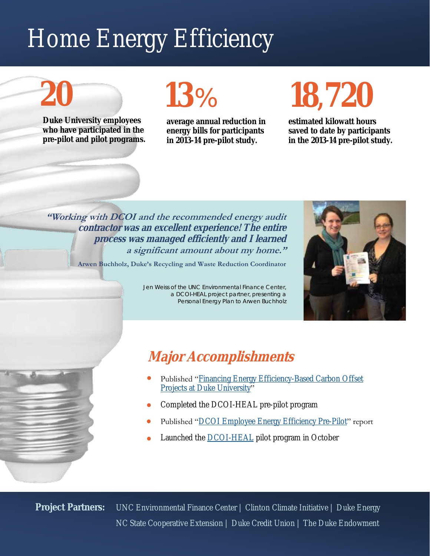## Home Energy Efficiency

# **20**

**Duke University employees who have participated in the pre-pilot and pilot programs.**

## **13**%

**average annual reduction in energy bills for participants in 2013-14 pre-pilot study.**

# **18,720**

**estimated kilowatt hours saved to date by participants in the 2013-14 pre-pilot study.**

**"Working with DCOI and the recommended energy audit contractor was an excellent experience! The entire process was managed efficiently and I learned a significant amount about my home."**

**Arwen Buchholz, Duke's Recycling and Waste Reduction Coordinator**

Jen Weiss of the UNC Environmental Finance Center, a DCOI-HEAL project partner, presenting a Personal Energy Plan to Arwen Buchholz



#### **Major Accomplishments**

- Published "[Financing Energy Efficiency-Based Carbon Offset](http://www.efc.sog.unc.edu/reslib/item/financing-energy-efficiency-based-carbon-offset-projects-duke-university)  [Projects at Duke University"](http://www.efc.sog.unc.edu/reslib/item/financing-energy-efficiency-based-carbon-offset-projects-duke-university)
- Completed the DCOI-HEAL pre-pilot program
- Published "[DCOI Employee Energy Efficiency Pre-Pilot"](http://sustainability.duke.edu/carbon_offsets/resources/Energy%20Efficiency%20Resources/DCOI%20EE%20Pre-Pilot.pdfC:/Users/jse10/Documents/Custom%20Office%20Templates) report
- Launched the **DCOI-HEAL** pilot program in October

**Project Partners:** UNC Environmental Finance Center | Clinton Climate Initiative | Duke Energy NC State Cooperative Extension | Duke Credit Union | The Duke Endowment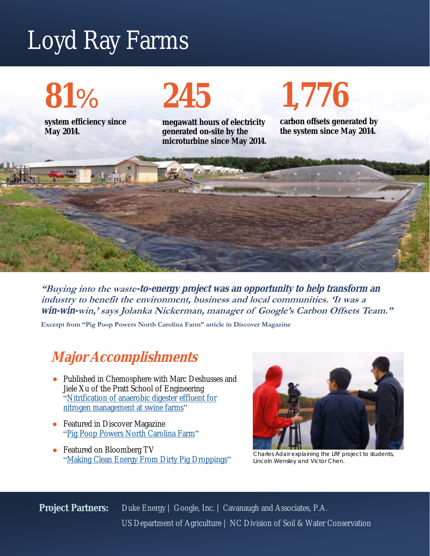## Loyd Ray Farms

**81**%

**May 2014.**

**system efficiency since** 

# **245**

**megawatt hours of electricity generated on-site by the microturbine since May 2014.** **carbon offsets generated by the system since May 2014.**

**1,776**



**"Buying into the waste-to-energy project was an opportunity to help transform an industry to benefit the environment, business and local communities. 'It was a win-win-win,' says Jolanka Nickerman, manager of Google's Carbon Offsets Team."** 

**Excerpt from "Pig Poop Powers North Carolina Farm" article in Discover Magazine**

#### **Major Accomplishments**

- Published in Chemosphere with Marc Deshusses and Jiele Xu of the Pratt School of Engineering ["Nitrification of anaerobic digester effluent for](http://www.sciencedirect.com/science/article/pii/S004565351401159X)  [nitrogen management at swine farms"](http://www.sciencedirect.com/science/article/pii/S004565351401159X)
- Featured in Discover Magazine ["Pig Poop Powers North Carolina Farm"](http://discovermagazine.com/2014/march/17-pig-poop-powers-north-carolina-farm)
- Featured on Bloomberg TV ["Making Clean Energy From Dirty Pig Droppings"](http://www.bloomberg.com/video/making-clean-energy-from-dirty-pig-droppings-M7wIX3h3SRKGAi1Yo4IM8A.html)



Charles Adair explaining the LRF project to students, Lincoln Wensley and Victor Chen.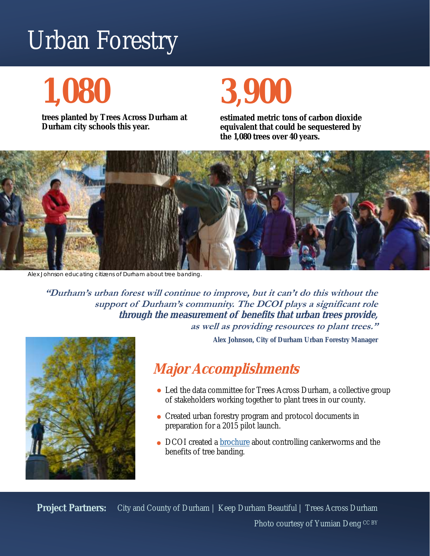## Urban Forestry

## **1,080**

**trees planted by Trees Across Durham at Durham city schools this year.**

## **3,900**

**estimated metric tons of carbon dioxide equivalent that could be sequestered by the 1,080 trees over 40 years.**



Alex Johnson educating citizens of Durham about tree banding.

**"Durham's urban forest will continue to improve, but it can't do this without the support of Durham's community. The DCOI plays a significant role through the measurement of benefits that urban trees provide, as well as providing resources to plant trees."** 

**Alex Johnson, City of Durham Urban Forestry Manager**



#### **Major Accomplishments**

- Led the data committee for Trees Across Durham, a collective group of stakeholders working together to plant trees in our county.
- Created urban forestry program and protocol documents in preparation for a 2015 pilot launch.
- DCOI created a **brochure** about controlling cankerworms and the benefits of tree banding.

**Project Partners:** City and County of Durham | Keep Durham Beautiful | Trees Across Durham Photo courtesy of Yumian Deng CC BY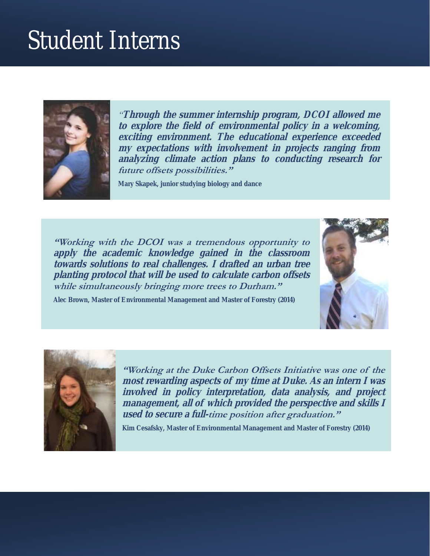### Student Interns



*"***Through the summer internship program, DCOI allowed me to explore the field of environmental policy in a welcoming, exciting environment. The educational experience exceeded my expectations with involvement in projects ranging from analyzing climate action plans to conducting research for future offsets possibilities."**

**Mary Skapek, junior studying biology and dance**

**"Working with the DCOI was a tremendous opportunity to apply the academic knowledge gained in the classroom towards solutions to real challenges. I drafted an urban tree planting protocol that will be used to calculate carbon offsets while simultaneously bringing more trees to Durham."** 







**"Working at the Duke Carbon Offsets Initiative was one of the most rewarding aspects of my time at Duke. As an intern I was involved in policy interpretation, data analysis, and project management, all of which provided the perspective and skills I used to secure a full-time position after graduation."**

**Kim Cesafsky, Master of Environmental Management and Master of Forestry (2014)**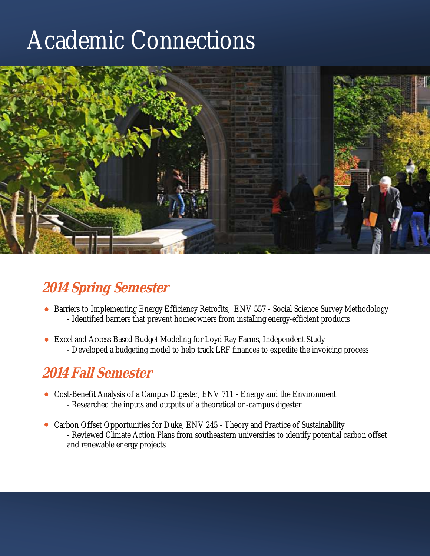### Academic Connections



#### **2014 Spring Semester**

- Barriers to Implementing Energy Efficiency Retrofits, ENV 557 Social Science Survey Methodology - Identified barriers that prevent homeowners from installing energy-efficient products
- Excel and Access Based Budget Modeling for Loyd Ray Farms, Independent Study - Developed a budgeting model to help track LRF finances to expedite the invoicing process

#### **2014 Fall Semester**

- Cost-Benefit Analysis of a Campus Digester, ENV 711 Energy and the Environment - Researched the inputs and outputs of a theoretical on-campus digester
- Carbon Offset Opportunities for Duke, ENV 245 Theory and Practice of Sustainability - Reviewed Climate Action Plans from southeastern universities to identify potential carbon offset and renewable energy projects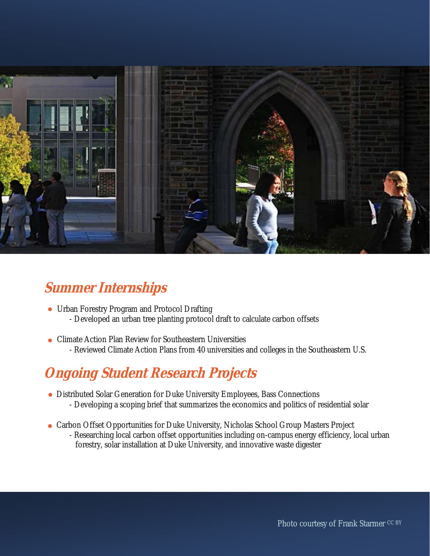

#### **Summer Internships**

- Urban Forestry Program and Protocol Drafting - Developed an urban tree planting protocol draft to calculate carbon offsets
- Climate Action Plan Review for Southeastern Universities - Reviewed Climate Action Plans from 40 universities and colleges in the Southeastern U.S.

#### **Ongoing Student Research Projects**

- Distributed Solar Generation for Duke University Employees, Bass Connections
	- Developing a scoping brief that summarizes the economics and politics of residential solar
- Carbon Offset Opportunities for Duke University, Nicholas School Group Masters Project - Researching local carbon offset opportunities including on-campus energy efficiency, local urban forestry, solar installation at Duke University, and innovative waste digester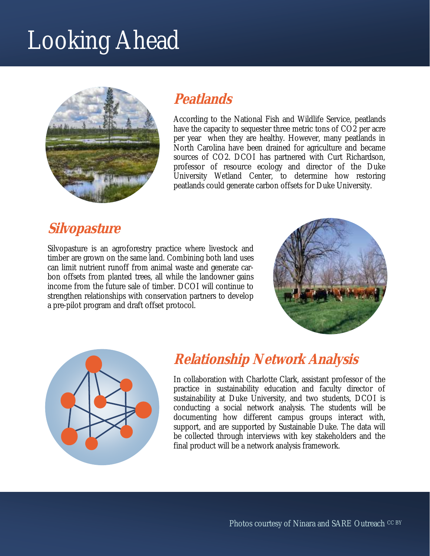## Looking Ahead



#### **Peatlands**

According to the National Fish and Wildlife Service, peatlands have the capacity to sequester three metric tons of CO2 per acre per year when they are healthy. However, many peatlands in North Carolina have been drained for agriculture and became sources of CO2. DCOI has partnered with Curt Richardson, professor of resource ecology and director of the Duke University Wetland Center, to determine how restoring peatlands could generate carbon offsets for Duke University.

#### **Silvopasture**

Silvopasture is an agroforestry practice where livestock and timber are grown on the same land. Combining both land uses can limit nutrient runoff from animal waste and generate carbon offsets from planted trees, all while the landowner gains income from the future sale of timber. DCOI will continue to strengthen relationships with conservation partners to develop a pre-pilot program and draft offset protocol.





#### **Relationship Network Analysis**

In collaboration with Charlotte Clark, assistant professor of the practice in sustainability education and faculty director of sustainability at Duke University, and two students, DCOI is conducting a social network analysis. The students will be documenting how different campus groups interact with, support, and are supported by Sustainable Duke. The data will be collected through interviews with key stakeholders and the final product will be a network analysis framework.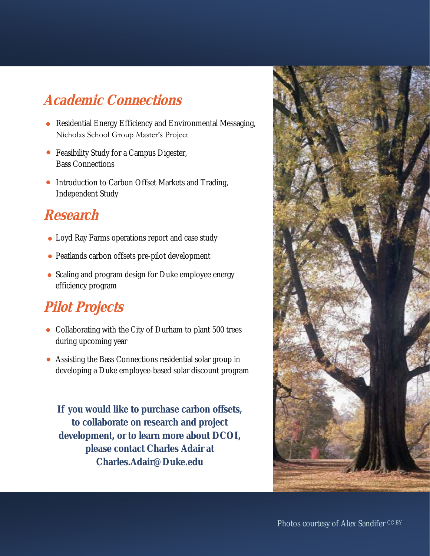#### **Academic Connections**

- Residential Energy Efficiency and Environmental Messaging, Nicholas School Group Master's Project
- Feasibility Study for a Campus Digester, Bass Connections
- Introduction to Carbon Offset Markets and Trading, Independent Study

#### **Research**

- Loyd Ray Farms operations report and case study
- Peatlands carbon offsets pre-pilot development
- Scaling and program design for Duke employee energy efficiency program

#### **Pilot Projects**

- Collaborating with the City of Durham to plant 500 trees during upcoming year
- Assisting the Bass Connections residential solar group in developing a Duke employee-based solar discount program

**If you would like to purchase carbon offsets, to collaborate on research and project development, or to learn more about DCOI, please contact Charles Adair at Charles.Adair@Duke.edu**